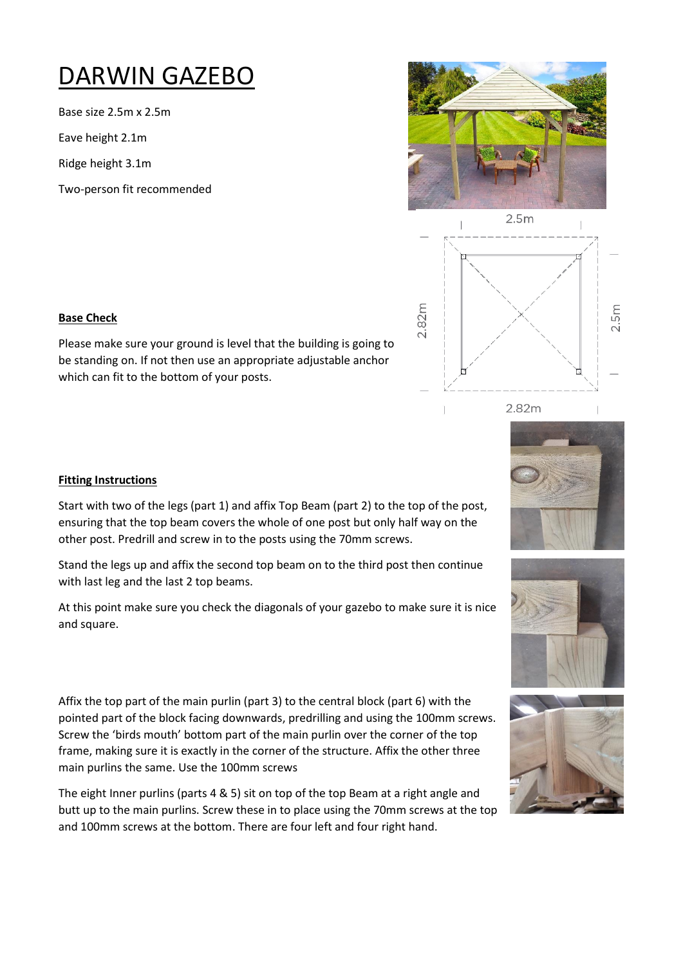## DARWIN GAZEBO

Base size 2.5m x 2.5m

Eave height 2.1m

Ridge height 3.1m

Two-person fit recommended





2.82m





## **Base Check**

Please make sure your ground is level that the building is going to be standing on. If not then use an appropriate adjustable anchor which can fit to the bottom of your posts.

## **Fitting Instructions**

Start with two of the legs (part 1) and affix Top Beam (part 2) to the top of the post, ensuring that the top beam covers the whole of one post but only half way on the other post. Predrill and screw in to the posts using the 70mm screws.

Stand the legs up and affix the second top beam on to the third post then continue with last leg and the last 2 top beams.

At this point make sure you check the diagonals of your gazebo to make sure it is nice and square.

Affix the top part of the main purlin (part 3) to the central block (part 6) with the pointed part of the block facing downwards, predrilling and using the 100mm screws. Screw the 'birds mouth' bottom part of the main purlin over the corner of the top frame, making sure it is exactly in the corner of the structure. Affix the other three main purlins the same. Use the 100mm screws

The eight Inner purlins (parts 4 & 5) sit on top of the top Beam at a right angle and butt up to the main purlins. Screw these in to place using the 70mm screws at the top and 100mm screws at the bottom. There are four left and four right hand.